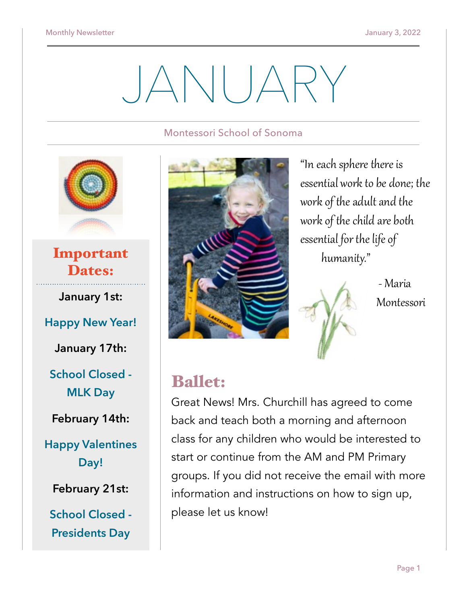# JANUARY

#### Montessori School of Sonoma



Important Dates:

**January 1st:** 

**Happy New Year!** 

**January 17th:** 

**School Closed - MLK Day** 

**February 14th:** 

**Happy Valentines Day!** 

**February 21st:** 

**School Closed - Presidents Day**



"In each sphere there is essential work to be done; the work of the adult and the work of the child are both essential for the life of humanity."

> - Maria Montessori

## Ballet:

Great News! Mrs. Churchill has agreed to come back and teach both a morning and afternoon class for any children who would be interested to start or continue from the AM and PM Primary groups. If you did not receive the email with more information and instructions on how to sign up, please let us know!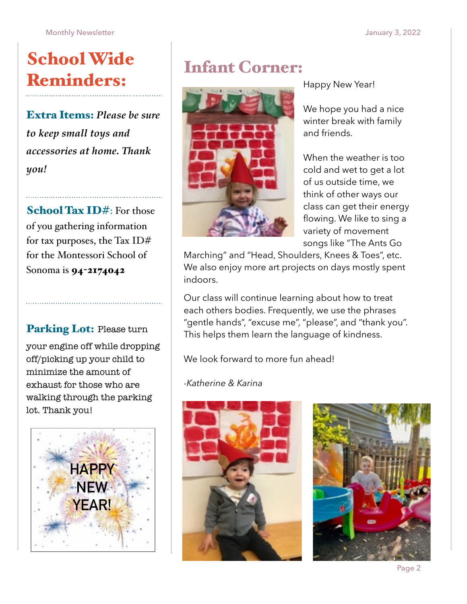## School Wide Reminders:

Extra Items: *Please be sure to keep small toys and accessories at home. Thank you!*

School Tax ID#: For those of you gathering information for tax purposes, the Tax ID# for the Montessori School of Sonoma is 94-2174042

Parking Lot: Please turn your engine off while dropping off/picking up your child to minimize the amount of exhaust for those who are walking through the parking lot. Thank you!



## Infant Corner:



Happy New Year!

We hope you had a nice winter break with family and friends.

When the weather is too cold and wet to get a lot of us outside time, we think of other ways our class can get their energy flowing. We like to sing a variety of movement songs like "The Ants Go

Marching" and "Head, Shoulders, Knees & Toes", etc. We also enjoy more art projects on days mostly spent indoors.

Our class will continue learning about how to treat each others bodies. Frequently, we use the phrases "gentle hands", "excuse me", "please", and "thank you". This helps them learn the language of kindness.

We look forward to more fun ahead!

#### *-Katherine & Karina*



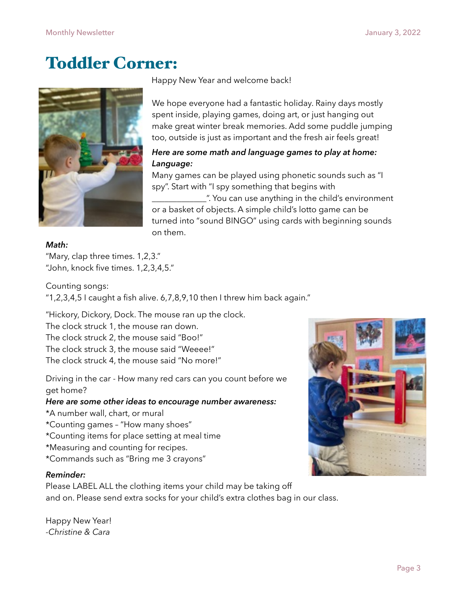## Toddler Corner:



Happy New Year and welcome back!

We hope everyone had a fantastic holiday. Rainy days mostly spent inside, playing games, doing art, or just hanging out make great winter break memories. Add some puddle jumping too, outside is just as important and the fresh air feels great!

#### *Here are some math and language games to play at home: Language:*

Many games can be played using phonetic sounds such as "I spy". Start with "I spy something that begins with

\_\_\_\_\_\_\_\_\_\_\_\_\_". You can use anything in the child's environment or a basket of objects. A simple child's lotto game can be turned into "sound BINGO" using cards with beginning sounds on them.

#### *Math:*

"Mary, clap three times. 1,2,3." "John, knock five times. 1,2,3,4,5."

Counting songs: "1,2,3,4,5 I caught a fish alive. 6,7,8,9,10 then I threw him back again."

"Hickory, Dickory, Dock. The mouse ran up the clock.

The clock struck 1, the mouse ran down. The clock struck 2, the mouse said "Boo!" The clock struck 3, the mouse said "Weeee!" The clock struck 4, the mouse said "No more!"

Driving in the car - How many red cars can you count before we get home?

#### *Here are some other ideas to encourage number awareness:*

- \*A number wall, chart, or mural
- \*Counting games "How many shoes"
- \*Counting items for place setting at meal time
- \*Measuring and counting for recipes.
- \*Commands such as "Bring me 3 crayons"

#### *Reminder:*

Please LABEL ALL the clothing items your child may be taking off and on. Please send extra socks for your child's extra clothes bag in our class.

Happy New Year! *-Christine & Cara*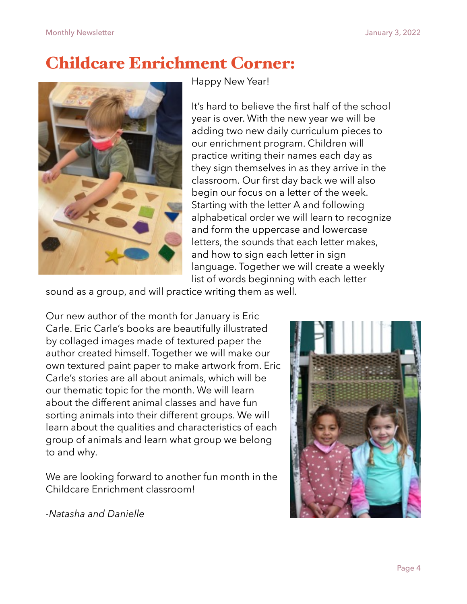## Childcare Enrichment Corner:



Happy New Year!

It's hard to believe the first half of the school year is over. With the new year we will be adding two new daily curriculum pieces to our enrichment program. Children will practice writing their names each day as they sign themselves in as they arrive in the classroom. Our first day back we will also begin our focus on a letter of the week. Starting with the letter A and following alphabetical order we will learn to recognize and form the uppercase and lowercase letters, the sounds that each letter makes, and how to sign each letter in sign language. Together we will create a weekly list of words beginning with each letter

sound as a group, and will practice writing them as well.

Our new author of the month for January is Eric Carle. Eric Carle's books are beautifully illustrated by collaged images made of textured paper the author created himself. Together we will make our own textured paint paper to make artwork from. Eric Carle's stories are all about animals, which will be our thematic topic for the month. We will learn about the different animal classes and have fun sorting animals into their different groups. We will learn about the qualities and characteristics of each group of animals and learn what group we belong to and why.

We are looking forward to another fun month in the Childcare Enrichment classroom!



*-Natasha and Danielle*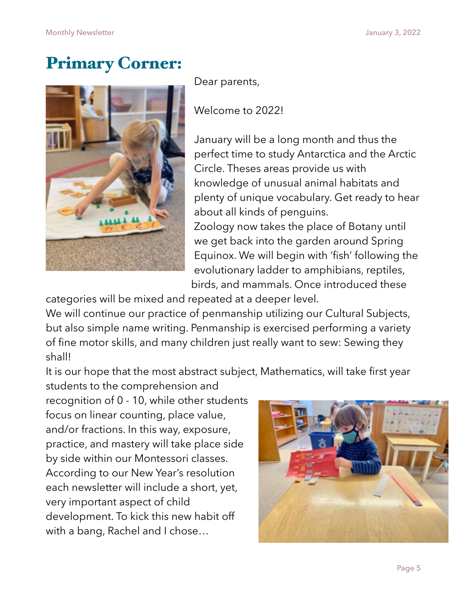## Primary Corner:



Dear parents,

Welcome to 2022!

January will be a long month and thus the perfect time to study Antarctica and the Arctic Circle. Theses areas provide us with knowledge of unusual animal habitats and plenty of unique vocabulary. Get ready to hear about all kinds of penguins. Zoology now takes the place of Botany until we get back into the garden around Spring

Equinox. We will begin with 'fish' following the evolutionary ladder to amphibians, reptiles, birds, and mammals. Once introduced these

categories will be mixed and repeated at a deeper level.

We will continue our practice of penmanship utilizing our Cultural Subjects, but also simple name writing. Penmanship is exercised performing a variety of fine motor skills, and many children just really want to sew: Sewing they shall!

It is our hope that the most abstract subject, Mathematics, will take first year

students to the comprehension and recognition of 0 - 10, while other students focus on linear counting, place value, and/or fractions. In this way, exposure, practice, and mastery will take place side by side within our Montessori classes. According to our New Year's resolution each newsletter will include a short, yet, very important aspect of child development. To kick this new habit off with a bang, Rachel and I chose…

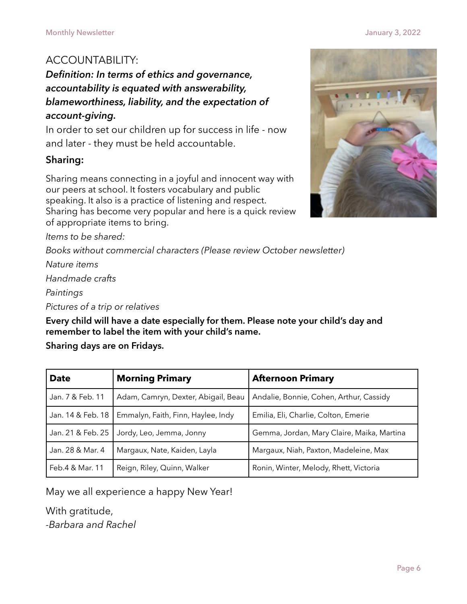### ACCOUNTABILITY:

#### *Definition: In terms of ethics and governance, accountability is equated with answerability, blameworthiness, liability, and the expectation of account-giving.*

In order to set our children up for success in life - now and later - they must be held accountable.

#### **Sharing:**

Sharing means connecting in a joyful and innocent way with our peers at school. It fosters vocabulary and public speaking. It also is a practice of listening and respect. Sharing has become very popular and here is a quick review of appropriate items to bring.

*Items to be shared:* 

*Books without commercial characters (Please review October newsletter)* 

*Nature items* 

*Handmade crafts* 

*Paintings* 

*Pictures of a trip or relatives* 

**Every child will have a date especially for them. Please note your child's day and remember to label the item with your child's name.** 

**Sharing days are on Fridays.**

| <b>Date</b>                                      | <b>Morning Primary</b>              | <b>Afternoon Primary</b>                   |  |  |
|--------------------------------------------------|-------------------------------------|--------------------------------------------|--|--|
| Jan. 7 & Feb. 11                                 | Adam, Camryn, Dexter, Abigail, Beau | Andalie, Bonnie, Cohen, Arthur, Cassidy    |  |  |
| Jan. 14 & Feb. 18                                | Emmalyn, Faith, Finn, Haylee, Indy  | Emilia, Eli, Charlie, Colton, Emerie       |  |  |
| Jan. 21 & Feb. 25                                | Jordy, Leo, Jemma, Jonny            | Gemma, Jordan, Mary Claire, Maika, Martina |  |  |
| Jan. 28 & Mar. 4<br>Margaux, Nate, Kaiden, Layla |                                     | Margaux, Niah, Paxton, Madeleine, Max      |  |  |
| Feb.4 & Mar. 11                                  | Reign, Riley, Quinn, Walker         | Ronin, Winter, Melody, Rhett, Victoria     |  |  |

May we all experience a happy New Year!

With gratitude,

*-Barbara and Rachel*